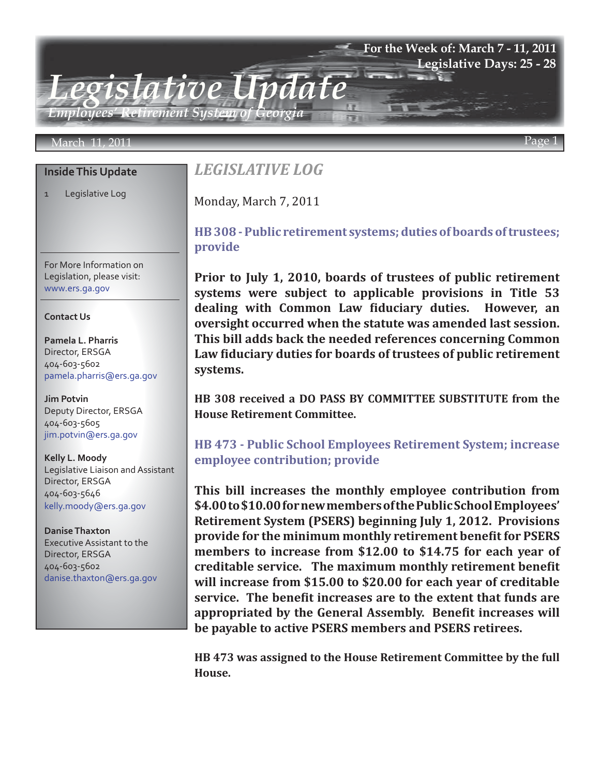### **For the Week of: March 7 - 11, 2011 Legislative Days: 25 - 28**

*Employees' Retirement System of Georgia*

### March 11, 2011 Page 1

#### **Inside This Update**

1 Legislative Log

For More Information on Legislation, please visit: www.ers.ga.gov

#### **Contact Us**

**Pamela L. Pharris** Director, ERSGA 404-603-5602 pamela.pharris@ers.ga.gov

**Jim Potvin** Deputy Director, ERSGA 404-603-5605 jim.potvin@ers.ga.gov

**Kelly L. Moody** Legislative Liaison and Assistant Director, ERSGA 404-603-5646 kelly.moody@ers.ga.gov

**Danise Thaxton** Executive Assistant to the Director, ERSGA 404-603-5602 danise.thaxton@ers.ga.gov

# *LEGISLATIVE LOG*

*Legislative Update*

Monday, March 7, 2011

## **[HB 308 - Public retirement systems; duties of boards of trustees;](http://www.legis.ga.gov/Legislation/20112012/112431.pdf) provide**

**Prior to July 1, 2010, boards of trustees of public retirement systems were subject to applicable provisions in Title 53 dealing with Common Law fiduciary duties. However, an oversight occurred when the statute was amended last session. This bill adds back the needed references concerning Common Law fiduciary duties for boards of trustees of public retirement systems.**

**HB 308 received a DO PASS BY COMMITTEE SUBSTITUTE from the House Retirement Committee.**

## **[HB 473 - Public School Employees Retirement System; increase](http://www.legis.ga.gov/Legislation/20112012/112226.pdf) employee contribution; provide**

**This bill increases the monthly employee contribution from \$4.00 to \$10.00 for new members of the Public School Employees' Retirement System (PSERS) beginning July 1, 2012. Provisions provide for the minimum monthly retirement benefit for PSERS members to increase from \$12.00 to \$14.75 for each year of creditable service. The maximum monthly retirement benefit will increase from \$15.00 to \$20.00 for each year of creditable service. The benefit increases are to the extent that funds are appropriated by the General Assembly. Benefit increases will be payable to active PSERS members and PSERS retirees.**

**HB 473 was assigned to the House Retirement Committee by the full House.**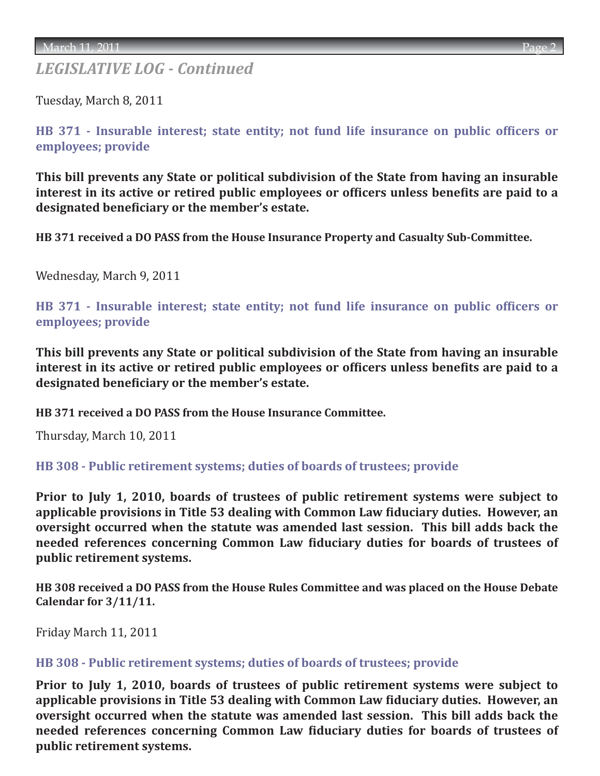# *LEGISLATIVE LOG - Continued*

Tuesday, March 8, 2011

**[HB 371 - Insurable interest; state entity; not fund life insurance on public officers or](http://www.legis.ga.gov/Legislation/20112012/111160.pdf)  employees; provide**

**This bill prevents any State or political subdivision of the State from having an insurable interest in its active or retired public employees or officers unless benefits are paid to a designated beneficiary or the member's estate.**

**HB 371 received a DO PASS from the House Insurance Property and Casualty Sub-Committee.**

Wednesday, March 9, 2011

**[HB 371 - Insurable interest; state entity; not fund life insurance on public officers or](http://www.legis.ga.gov/Legislation/20112012/111160.pdf)  employees; provide**

**This bill prevents any State or political subdivision of the State from having an insurable interest in its active or retired public employees or officers unless benefits are paid to a designated beneficiary or the member's estate.**

**HB 371 received a DO PASS from the House Insurance Committee.**

Thursday, March 10, 2011

**[HB 308 - Public retirement systems; duties of boards of trustees; provide](http://www.legis.ga.gov/Legislation/20112012/112431.pdf)**

**Prior to July 1, 2010, boards of trustees of public retirement systems were subject to applicable provisions in Title 53 dealing with Common Law fiduciary duties. However, an oversight occurred when the statute was amended last session. This bill adds back the needed references concerning Common Law fiduciary duties for boards of trustees of public retirement systems.**

**HB 308 received a DO PASS from the House Rules Committee and was placed on the House Debate Calendar for 3/11/11.**

Friday March 11, 2011

### **[HB 308 - Public retirement systems; duties of boards of trustees; provide](http://www.legis.ga.gov/Legislation/20112012/112431.pdf)**

**Prior to July 1, 2010, boards of trustees of public retirement systems were subject to applicable provisions in Title 53 dealing with Common Law fiduciary duties. However, an oversight occurred when the statute was amended last session. This bill adds back the needed references concerning Common Law fiduciary duties for boards of trustees of public retirement systems.**